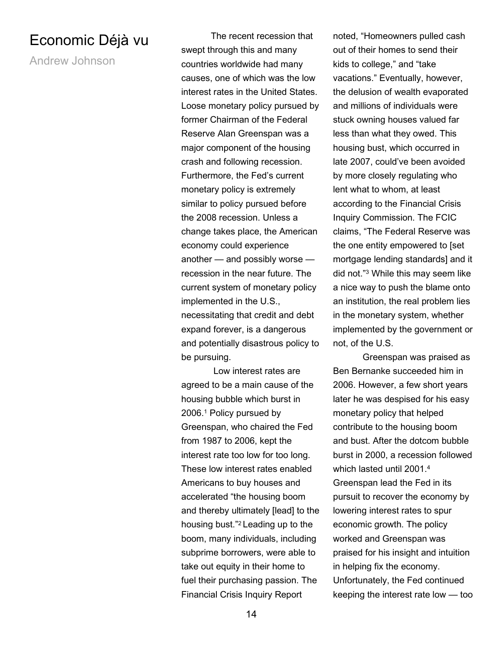## Economic Déjà vu

Andrew Johnson

The recent recession that swept through this and many countries worldwide had many causes, one of which was the low interest rates in the United States. Loose monetary policy pursued by former Chairman of the Federal Reserve Alan Greenspan was a major component of the housing crash and following recession. Furthermore, the Fed's current monetary policy is extremely similar to policy pursued before the 2008 recession. Unless a change takes place, the American economy could experience another — and possibly worse recession in the near future. The current system of monetary policy implemented in the U.S., necessitating that credit and debt expand forever, is a dangerous and potentially disastrous policy to be pursuing.

 Low interest rates are agreed to be a main cause of the housing bubble which burst in 2006.<sup>1</sup> Policy pursued by Greenspan, who chaired the Fed from 1987 to 2006, kept the interest rate too low for too long. These low interest rates enabled Americans to buy houses and accelerated "the housing boom and thereby ultimately [lead] to the housing bust."2 Leading up to the boom, many individuals, including subprime borrowers, were able to take out equity in their home to fuel their purchasing passion. The Financial Crisis Inquiry Report

noted, "Homeowners pulled cash out of their homes to send their kids to college," and "take vacations." Eventually, however, the delusion of wealth evaporated and millions of individuals were stuck owning houses valued far less than what they owed. This housing bust, which occurred in late 2007, could've been avoided by more closely regulating who lent what to whom, at least according to the Financial Crisis Inquiry Commission. The FCIC claims, "The Federal Reserve was the one entity empowered to [set mortgage lending standards] and it did not."<sup>3</sup> While this may seem like a nice way to push the blame onto an institution, the real problem lies in the monetary system, whether implemented by the government or not, of the U.S.

Greenspan was praised as Ben Bernanke succeeded him in 2006. However, a few short years later he was despised for his easy monetary policy that helped contribute to the housing boom and bust. After the dotcom bubble burst in 2000, a recession followed which lasted until 2001.<sup>4</sup> Greenspan lead the Fed in its pursuit to recover the economy by lowering interest rates to spur economic growth. The policy worked and Greenspan was praised for his insight and intuition in helping fix the economy. Unfortunately, the Fed continued keeping the interest rate low — too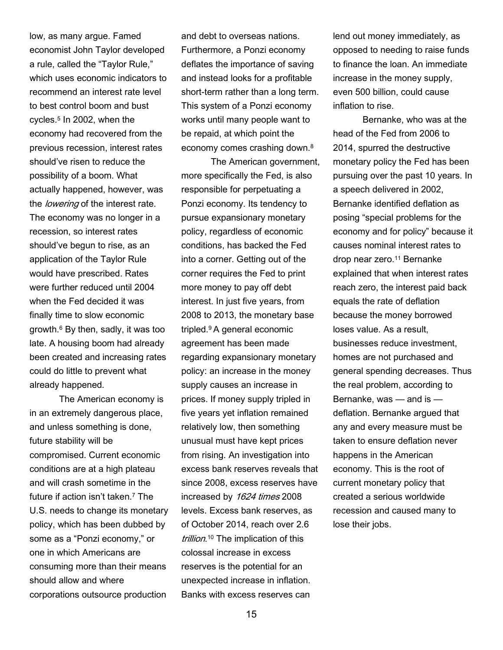low, as many argue. Famed economist John Taylor developed a rule, called the "Taylor Rule," which uses economic indicators to recommend an interest rate level to best control boom and bust cycles.<sup>5</sup> In 2002, when the economy had recovered from the previous recession, interest rates should've risen to reduce the possibility of a boom. What actually happened, however, was the *lowering* of the interest rate. The economy was no longer in a recession, so interest rates should've begun to rise, as an application of the Taylor Rule would have prescribed. Rates were further reduced until 2004 when the Fed decided it was finally time to slow economic growth.<sup>6</sup> By then, sadly, it was too late. A housing boom had already been created and increasing rates could do little to prevent what already happened.

The American economy is in an extremely dangerous place, and unless something is done, future stability will be compromised. Current economic conditions are at a high plateau and will crash sometime in the future if action isn't taken.<sup>7</sup> The U.S. needs to change its monetary policy, which has been dubbed by some as a "Ponzi economy," or one in which Americans are consuming more than their means should allow and where corporations outsource production

and debt to overseas nations. Furthermore, a Ponzi economy deflates the importance of saving and instead looks for a profitable short-term rather than a long term. This system of a Ponzi economy works until many people want to be repaid, at which point the economy comes crashing down.<sup>8</sup>

The American government, more specifically the Fed, is also responsible for perpetuating a Ponzi economy. Its tendency to pursue expansionary monetary policy, regardless of economic conditions, has backed the Fed into a corner. Getting out of the corner requires the Fed to print more money to pay off debt interest. In just five years, from 2008 to 2013, the monetary base tripled.9 A general economic agreement has been made regarding expansionary monetary policy: an increase in the money supply causes an increase in prices. If money supply tripled in five years yet inflation remained relatively low, then something unusual must have kept prices from rising. An investigation into excess bank reserves reveals that since 2008, excess reserves have increased by 1624 times 2008 levels. Excess bank reserves, as of October 2014, reach over 2.6 trillion.<sup>10</sup> The implication of this colossal increase in excess reserves is the potential for an unexpected increase in inflation. Banks with excess reserves can

lend out money immediately, as opposed to needing to raise funds to finance the loan. An immediate increase in the money supply, even 500 billion, could cause inflation to rise.

Bernanke, who was at the head of the Fed from 2006 to 2014, spurred the destructive monetary policy the Fed has been pursuing over the past 10 years. In a speech delivered in 2002, Bernanke identified deflation as posing "special problems for the economy and for policy" because it causes nominal interest rates to drop near zero.<sup>11</sup> Bernanke explained that when interest rates reach zero, the interest paid back equals the rate of deflation because the money borrowed loses value. As a result, businesses reduce investment, homes are not purchased and general spending decreases. Thus the real problem, according to Bernanke, was — and is deflation. Bernanke argued that any and every measure must be taken to ensure deflation never happens in the American economy. This is the root of current monetary policy that created a serious worldwide recession and caused many to lose their jobs.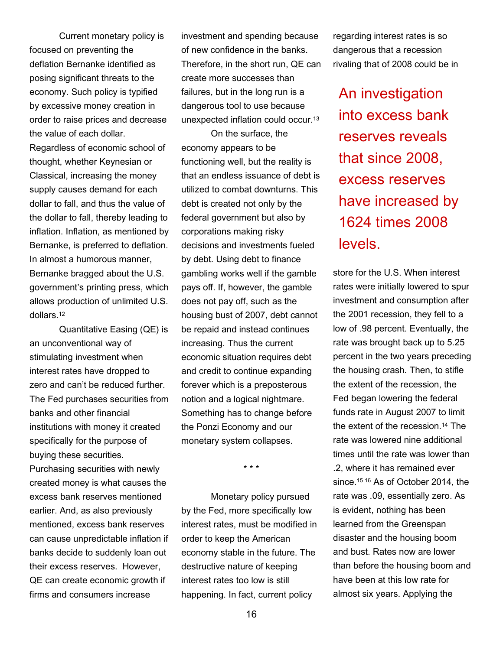Current monetary policy is focused on preventing the deflation Bernanke identified as posing significant threats to the economy. Such policy is typified by excessive money creation in order to raise prices and decrease the value of each dollar.

Regardless of economic school of thought, whether Keynesian or Classical, increasing the money supply causes demand for each dollar to fall, and thus the value of the dollar to fall, thereby leading to inflation. Inflation, as mentioned by Bernanke, is preferred to deflation. In almost a humorous manner, Bernanke bragged about the U.S. government's printing press, which allows production of unlimited U.S. dollars.<sup>12</sup>

Quantitative Easing (QE) is an unconventional way of stimulating investment when interest rates have dropped to zero and can't be reduced further. The Fed purchases securities from banks and other financial institutions with money it created specifically for the purpose of buying these securities.

Purchasing securities with newly created money is what causes the excess bank reserves mentioned earlier. And, as also previously mentioned, excess bank reserves can cause unpredictable inflation if banks decide to suddenly loan out their excess reserves. However, QE can create economic growth if firms and consumers increase

investment and spending because of new confidence in the banks. Therefore, in the short run, QE can create more successes than failures, but in the long run is a dangerous tool to use because unexpected inflation could occur.<sup>13</sup>

On the surface, the economy appears to be functioning well, but the reality is that an endless issuance of debt is utilized to combat downturns. This debt is created not only by the federal government but also by corporations making risky decisions and investments fueled by debt. Using debt to finance gambling works well if the gamble pays off. If, however, the gamble does not pay off, such as the housing bust of 2007, debt cannot be repaid and instead continues increasing. Thus the current economic situation requires debt and credit to continue expanding forever which is a preposterous notion and a logical nightmare. Something has to change before the Ponzi Economy and our monetary system collapses.

\* \* \*

 Monetary policy pursued by the Fed, more specifically low interest rates, must be modified in order to keep the American economy stable in the future. The destructive nature of keeping interest rates too low is still happening. In fact, current policy

regarding interest rates is so dangerous that a recession rivaling that of 2008 could be in

An investigation into excess bank reserves reveals that since 2008, excess reserves have increased by 1624 times 2008 levels.

store for the U.S. When interest rates were initially lowered to spur investment and consumption after the 2001 recession, they fell to a low of .98 percent. Eventually, the rate was brought back up to 5.25 percent in the two years preceding the housing crash. Then, to stifle the extent of the recession, the Fed began lowering the federal funds rate in August 2007 to limit the extent of the recession.14 The rate was lowered nine additional times until the rate was lower than .2, where it has remained ever since.<sup>15 16</sup> As of October 2014, the rate was .09, essentially zero. As is evident, nothing has been learned from the Greenspan disaster and the housing boom and bust. Rates now are lower than before the housing boom and have been at this low rate for almost six years. Applying the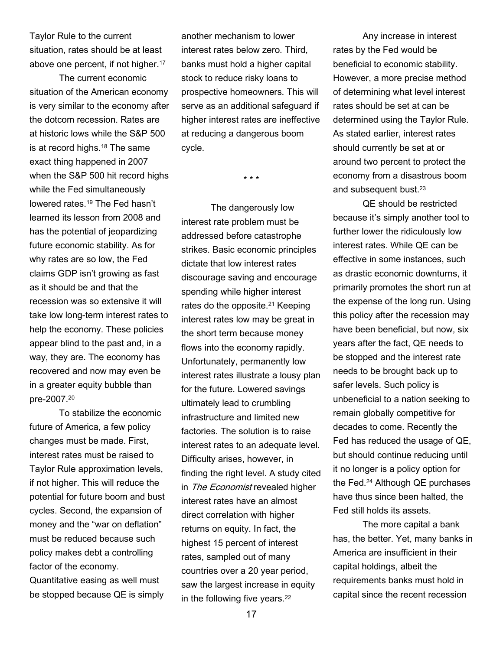Taylor Rule to the current situation, rates should be at least above one percent, if not higher.<sup>17</sup>

 The current economic situation of the American economy is very similar to the economy after the dotcom recession. Rates are at historic lows while the S&P 500 is at record highs.18 The same exact thing happened in 2007 when the S&P 500 hit record highs while the Fed simultaneously lowered rates.19 The Fed hasn't learned its lesson from 2008 and has the potential of jeopardizing future economic stability. As for why rates are so low, the Fed claims GDP isn't growing as fast as it should be and that the recession was so extensive it will take low long-term interest rates to help the economy. These policies appear blind to the past and, in a way, they are. The economy has recovered and now may even be in a greater equity bubble than pre-2007.<sup>20</sup>

 To stabilize the economic future of America, a few policy changes must be made. First, interest rates must be raised to Taylor Rule approximation levels, if not higher. This will reduce the potential for future boom and bust cycles. Second, the expansion of money and the "war on deflation" must be reduced because such policy makes debt a controlling factor of the economy.

Quantitative easing as well must be stopped because QE is simply another mechanism to lower interest rates below zero. Third, banks must hold a higher capital stock to reduce risky loans to prospective homeowners. This will serve as an additional safeguard if higher interest rates are ineffective at reducing a dangerous boom cycle.

\* \* \*

The dangerously low interest rate problem must be addressed before catastrophe strikes. Basic economic principles dictate that low interest rates discourage saving and encourage spending while higher interest rates do the opposite.<sup>21</sup> Keeping interest rates low may be great in the short term because money flows into the economy rapidly. Unfortunately, permanently low interest rates illustrate a lousy plan for the future. Lowered savings ultimately lead to crumbling infrastructure and limited new factories. The solution is to raise interest rates to an adequate level. Difficulty arises, however, in finding the right level. A study cited in The Economist revealed higher interest rates have an almost direct correlation with higher returns on equity. In fact, the highest 15 percent of interest rates, sampled out of many countries over a 20 year period, saw the largest increase in equity in the following five years.<sup>22</sup>

Any increase in interest rates by the Fed would be beneficial to economic stability. However, a more precise method of determining what level interest rates should be set at can be determined using the Taylor Rule. As stated earlier, interest rates should currently be set at or around two percent to protect the economy from a disastrous boom and subsequent bust.<sup>23</sup>

QE should be restricted because it's simply another tool to further lower the ridiculously low interest rates. While QE can be effective in some instances, such as drastic economic downturns, it primarily promotes the short run at the expense of the long run. Using this policy after the recession may have been beneficial, but now, six years after the fact, QE needs to be stopped and the interest rate needs to be brought back up to safer levels. Such policy is unbeneficial to a nation seeking to remain globally competitive for decades to come. Recently the Fed has reduced the usage of QE, but should continue reducing until it no longer is a policy option for the Fed.24 Although QE purchases have thus since been halted, the Fed still holds its assets.

The more capital a bank has, the better. Yet, many banks in America are insufficient in their capital holdings, albeit the requirements banks must hold in capital since the recent recession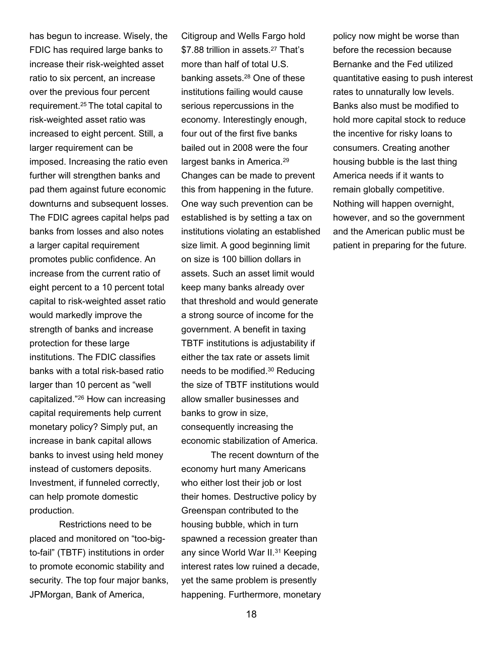has begun to increase. Wisely, the FDIC has required large banks to increase their risk-weighted asset ratio to six percent, an increase over the previous four percent requirement.25 The total capital to risk-weighted asset ratio was increased to eight percent. Still, a larger requirement can be imposed. Increasing the ratio even further will strengthen banks and pad them against future economic downturns and subsequent losses. The FDIC agrees capital helps pad banks from losses and also notes a larger capital requirement promotes public confidence. An increase from the current ratio of eight percent to a 10 percent total capital to risk-weighted asset ratio would markedly improve the strength of banks and increase protection for these large institutions. The FDIC classifies banks with a total risk-based ratio larger than 10 percent as "well capitalized."26 How can increasing capital requirements help current monetary policy? Simply put, an increase in bank capital allows banks to invest using held money instead of customers deposits. Investment, if funneled correctly, can help promote domestic production.

Restrictions need to be placed and monitored on "too-bigto-fail" (TBTF) institutions in order to promote economic stability and security. The top four major banks, JPMorgan, Bank of America,

Citigroup and Wells Fargo hold \$7.88 trillion in assets.<sup>27</sup> That's more than half of total U.S. banking assets.28 One of these institutions failing would cause serious repercussions in the economy. Interestingly enough, four out of the first five banks bailed out in 2008 were the four largest banks in America.<sup>29</sup> Changes can be made to prevent this from happening in the future. One way such prevention can be established is by setting a tax on institutions violating an established size limit. A good beginning limit on size is 100 billion dollars in assets. Such an asset limit would keep many banks already over that threshold and would generate a strong source of income for the government. A benefit in taxing TBTF institutions is adjustability if either the tax rate or assets limit needs to be modified.30 Reducing the size of TBTF institutions would allow smaller businesses and banks to grow in size, consequently increasing the economic stabilization of America.

The recent downturn of the economy hurt many Americans who either lost their job or lost their homes. Destructive policy by Greenspan contributed to the housing bubble, which in turn spawned a recession greater than any since World War II.31 Keeping interest rates low ruined a decade, yet the same problem is presently happening. Furthermore, monetary policy now might be worse than before the recession because Bernanke and the Fed utilized quantitative easing to push interest rates to unnaturally low levels. Banks also must be modified to hold more capital stock to reduce the incentive for risky loans to consumers. Creating another housing bubble is the last thing America needs if it wants to remain globally competitive. Nothing will happen overnight, however, and so the government and the American public must be patient in preparing for the future.